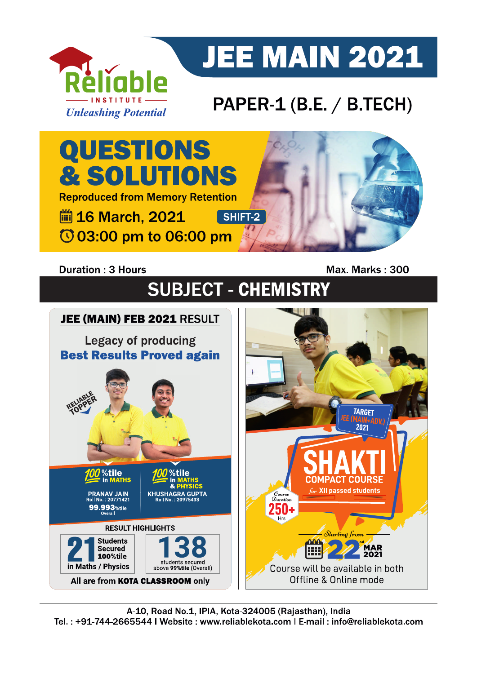

# **JEE MAIN 2021**

### PAPER-1 (B.E. / B.TECH)



#### **Duration: 3 Hours**

Max. Marks: 300

# **SUBJECT - CHEMISTRY**

## JEE (MAIN) FEB 2021 RESULT **Legacy of producing Best Results Proved again**



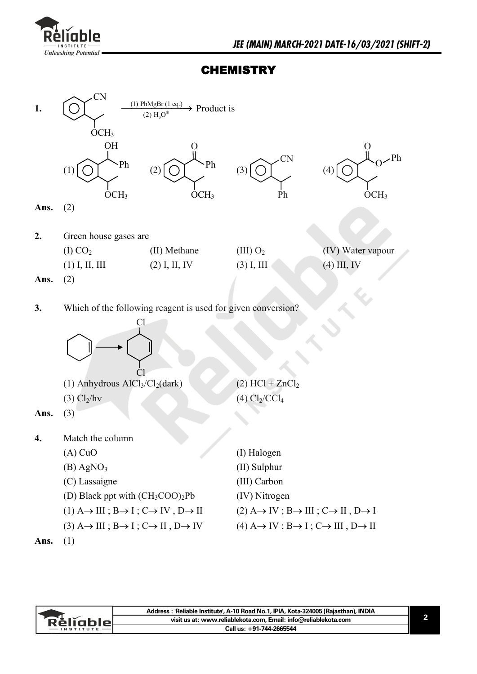

### **CHEMISTRY**



|                   | Address : 'Reliable Institute', A-10 Road No.1, IPIA, Kota-324005 (Rajasthan), INDIA |  |
|-------------------|--------------------------------------------------------------------------------------|--|
| Réliablel         | visit us at: www.reliablekota.com, Email: info@reliablekota.com                      |  |
| $-$ INSTITUTE $-$ | Call us: +91-744-2665544                                                             |  |
|                   |                                                                                      |  |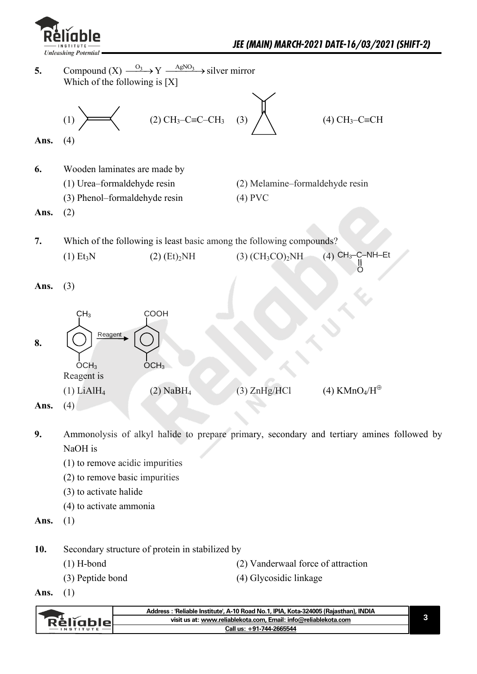

**5.** Compound  $(X) \xrightarrow{O_3} Y \xrightarrow{AgNO_3}$  silver mirror Which of the following is [X]

(1) 
$$
\sqrt{(2) CH_3-C} = C - CH_3
$$
 (3)  $\sqrt{(4) CH_3-C} = CH$ 

$$
3 \quad (3)
$$

$$
(4) CH3-C \equiv CH
$$

**Ans.** (4)

**6.** Wooden laminates are made by

 (1) Urea–formaldehyde resin (2) Melamine–formaldehyde resin (3) Phenol–formaldehyde resin (4) PVC

**Ans.** (2)

**7.** Which of the following is least basic among the following compounds? (1) Et<sub>3</sub>N (2) (Et)<sub>2</sub>NH (3) (CH<sub>3</sub>CO)<sub>2</sub>NH  $(4)$  CH<sub>3</sub>-C-NH-Et  $\overline{0}$ 

**Ans.** (3)

| 8.   | CH <sub>3</sub><br>Reagent<br>$\overline{OCH}_3$ | <b>COOH</b><br>OCH <sub>3</sub> |              |                         |
|------|--------------------------------------------------|---------------------------------|--------------|-------------------------|
|      | Reagent is                                       |                                 |              | (4) $KMnO_4/H^{\oplus}$ |
| Ans. | $(1)$ LiAlH <sub>4</sub><br>(4)                  | $(2)$ NaBH <sub>4</sub>         | (3) ZnHg/HCl |                         |

**Ans.** (4)

- **9.** Ammonolysis of alkyl halide to prepare primary, secondary and tertiary amines followed by NaOH is
	- (1) to remove acidic impurities
	- (2) to remove basic impurities
	- (3) to activate halide
	- (4) to activate ammonia
- **Ans.** (1)
- 10. Secondary structure of protein in stabilized by
	-
	- (1) H-bond (2) Vanderwaal force of attraction
	-
	- (3) Peptide bond (4) Glycosidic linkage
- **Ans.** (1)

| visit us at: www.reliablekota.com, Email: info@reliablekota.com<br>Réliablel<br>Call us: +91-744-2665544 |  | Address : 'Reliable Institute', A-10 Road No.1, IPIA, Kota-324005 (Rajasthan), INDIA |
|----------------------------------------------------------------------------------------------------------|--|--------------------------------------------------------------------------------------|
|                                                                                                          |  |                                                                                      |
|                                                                                                          |  |                                                                                      |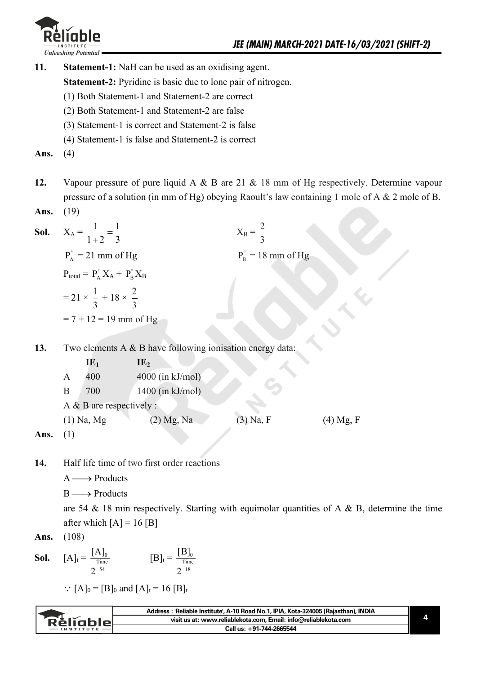

**11. Statement-1:** NaH can be used as an oxidising agent.

**Statement-2:** Pyridine is basic due to lone pair of nitrogen.

- (1) Both Statement-1 and Statement-2 are correct
- (2) Both Statement-1 and Statement-2 are false
- (3) Statement-1 is correct and Statement-2 is false
- (4) Statement-1 is false and Statement-2 is correct

**Ans.** (4)

- **12.** Vapour pressure of pure liquid A & B are 21 & 18 mm of Hg respectively. Determine vapour pressure of a solution (in mm of Hg) obeying Raoult's law containing 1 mole of A & 2 mole of B.
- **Ans.** (19)

| Sol. | $X_A = \frac{1}{1+2} = \frac{1}{3}$                          | $X_{\rm B}=\frac{2}{3}$           |  |
|------|--------------------------------------------------------------|-----------------------------------|--|
|      | $P_{A}^{\circ}$ = 21 mm of Hg                                | $P_{\rm B}^{\rm o} = 18$ mm of Hg |  |
|      | $P_{\text{total}} = P_{A}^{P} X_{A} + P_{B}^{P} X_{B}$       |                                   |  |
|      | $=21 \times \frac{1}{3} + 18 \times \frac{2}{3}$             |                                   |  |
|      | $= 7 + 12 = 19$ mm of Hg                                     |                                   |  |
|      |                                                              |                                   |  |
| 13.  | Two elements $A \& B$ have following ionisation energy data: |                                   |  |
|      | $IE_1$<br>IE <sub>2</sub>                                    |                                   |  |

|                 |   | LĿ1                         | IL <sub>2</sub>    |             |             |
|-----------------|---|-----------------------------|--------------------|-------------|-------------|
|                 | A | 400                         | $4000$ (in kJ/mol) |             |             |
|                 | В | 700                         | $1400$ (in kJ/mol) |             |             |
|                 |   | A $\&$ B are respectively : |                    |             |             |
|                 |   | $(1)$ Na, Mg                | (2) Mg, Na         | $(3)$ Na, F | $(4)$ Mg, F |
| $\lambda$ - - - |   |                             |                    |             |             |

- **Ans.** (1)
- **14.** Half life time of two first order reactions
	- $A \longrightarrow$  Products
	- B Products

are 54  $\&$  18 min respectively. Starting with equimolar quantities of A  $\&$  B, determine the time after which  $[A] = 16 [B]$ 

**Ans.** (108)

**Sol.** 
$$
[A]_t = \frac{[A]_0}{2^{\frac{Time}{54}}} \qquad [B]_t = \frac{[B]_0}{2^{\frac{Time}{18}}}
$$

:  $[A]_0 = [B]_0$  and  $[A]_t = 16 [B]_t$ 

| Réligblel | Address : 'Reliable Institute', A-10 Road No.1, IPIA, Kota-324005 (Rajasthan), INDIA |  |
|-----------|--------------------------------------------------------------------------------------|--|
|           | visit us at: www.reliablekota.com, Email: info@reliablekota.com                      |  |
|           | Call us: +91-744-2665544                                                             |  |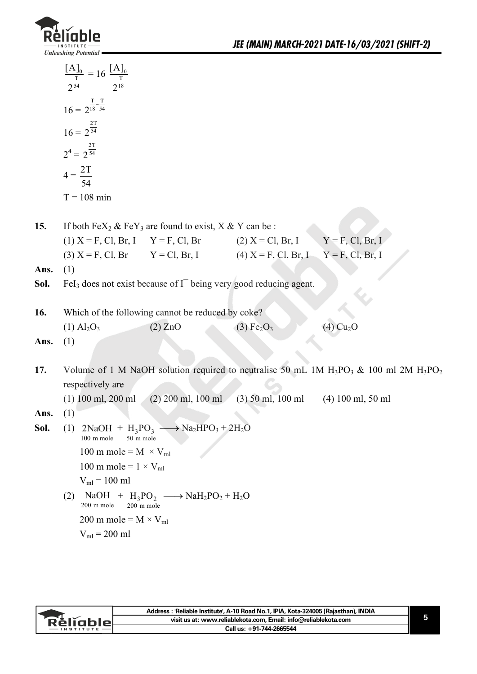

|      | $\frac{[A]_0}{2^{\frac{T}{54}}} = 16 \frac{[A]_0}{2^{\frac{T}{18}}}$               |                                                   |                                    |                                                                                             |
|------|------------------------------------------------------------------------------------|---------------------------------------------------|------------------------------------|---------------------------------------------------------------------------------------------|
|      |                                                                                    |                                                   |                                    |                                                                                             |
|      | $16 = 2^{\frac{T}{18} - \frac{T}{54}}$                                             |                                                   |                                    |                                                                                             |
|      | $16 = 2^{\frac{2T}{54}}$                                                           |                                                   |                                    |                                                                                             |
|      | $2^4 = 2^{\frac{2T}{54}}$                                                          |                                                   |                                    |                                                                                             |
|      | $4 = \frac{2T}{54}$                                                                |                                                   |                                    |                                                                                             |
|      | $T = 108$ min                                                                      |                                                   |                                    |                                                                                             |
|      |                                                                                    |                                                   |                                    |                                                                                             |
| 15.  | If both $FeX_2 \& FeY_3$ are found to exist, $X \& Y$ can be:                      |                                                   |                                    |                                                                                             |
|      | (1) $X = F$ , Cl, Br, I $Y = F$ , Cl, Br (2) $X = Cl$ , Br, I $Y = F$ , Cl, Br, I  |                                                   |                                    |                                                                                             |
|      | (3) $X = F$ , Cl, Br $Y = Cl$ , Br, I (4) $X = F$ , Cl, Br, I $Y = F$ , Cl, Br, I  |                                                   |                                    |                                                                                             |
| Ans. | (1)                                                                                |                                                   |                                    |                                                                                             |
| Sol. | FeI <sub>3</sub> does not exist because of $I-$ being very good reducing agent.    |                                                   |                                    |                                                                                             |
|      |                                                                                    |                                                   |                                    |                                                                                             |
| 16.  | Which of the following cannot be reduced by coke?                                  |                                                   |                                    |                                                                                             |
|      | $(1)$ Al <sub>2</sub> O <sub>3</sub>                                               | $(2)$ ZnO                                         | (3) Fe <sub>2</sub> O <sub>3</sub> | $(4)$ Cu <sub>2</sub> O                                                                     |
| Ans. | (1)                                                                                |                                                   |                                    |                                                                                             |
|      |                                                                                    |                                                   |                                    |                                                                                             |
| 17.  | respectively are                                                                   |                                                   |                                    | Volume of 1 M NaOH solution required to neutralise 50 mL 1M $H_3PO_3$ & 100 ml 2M $H_3PO_2$ |
|      | $(1)$ 100 ml, 200 ml                                                               | $(2)$ 200 ml, 100 ml                              | $(3)$ 50 ml, 100 ml                | $(4)$ 100 ml, 50 ml                                                                         |
| Ans. | (1)                                                                                |                                                   |                                    |                                                                                             |
| Sol. | (1) $2NaOH + H_3PO_3 \longrightarrow Na_2HPO_3 + 2H_2O$<br>100 m mole<br>50 m mole |                                                   |                                    |                                                                                             |
|      | 100 m mole = $M \times V_{ml}$                                                     |                                                   |                                    |                                                                                             |
|      | 100 m mole = $1 \times V_{ml}$                                                     |                                                   |                                    |                                                                                             |
|      | $V_{ml}$ = 100 ml                                                                  |                                                   |                                    |                                                                                             |
|      | (2)<br>200 m mole<br>200 m mole                                                    | $NaOH + H_3PO_2 \longrightarrow NaH_2PO_2 + H_2O$ |                                    |                                                                                             |
|      | 200 m mole = $M \times V_{ml}$                                                     |                                                   |                                    |                                                                                             |
|      | $V_{ml}$ = 200 ml                                                                  |                                                   |                                    |                                                                                             |
|      |                                                                                    |                                                   |                                    |                                                                                             |

| `RèlĭableL<br>$\cdot$ INSTITUTE | Address : 'Reliable Institute', A-10 Road No.1, IPIA, Kota-324005 (Rajasthan), INDIA |  |
|---------------------------------|--------------------------------------------------------------------------------------|--|
|                                 | visit us at: www.reliablekota.com, Email: info@reliablekota.com                      |  |
|                                 | Call us: +91-744-2665544                                                             |  |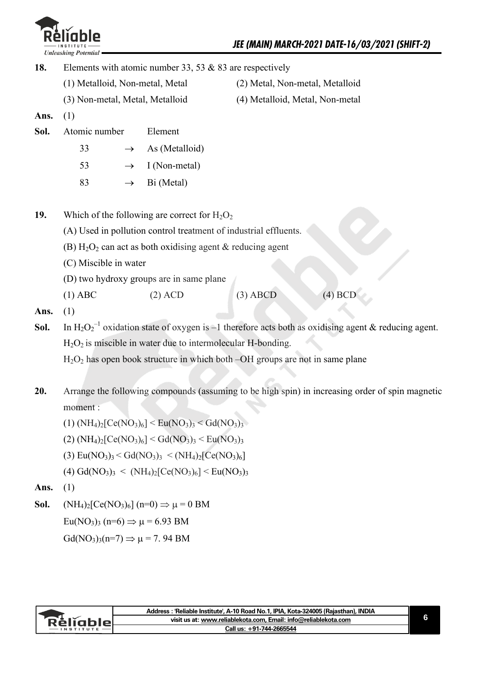

**18.** Elements with atomic number 33, 53 & 83 are respectively (1) Metalloid, Non-metal, Metal (2) Metal, Non-metal, Metalloid (3) Non-metal, Metal, Metalloid (4) Metalloid, Metal, Non-metal **Ans.** (1) **Sol.** Atomic number Element 33  $\rightarrow$  As (Metalloid) 53  $\rightarrow$  I (Non-metal) 83  $\rightarrow$  Bi (Metal) **19.** Which of the following are correct for  $H_2O_2$  (A) Used in pollution control treatment of industrial effluents. (B)  $H_2O_2$  can act as both oxidising agent & reducing agent (C) Miscible in water (D) two hydroxy groups are in same plane (1) ABC (2) ACD (3) ABCD (4) BCD **Ans.** (1) **Sol.** In  $H_2O_2^{-1}$  oxidation state of oxygen is -1 therefore acts both as oxidising agent & reducing agent.  $H<sub>2</sub>O<sub>2</sub>$  is miscible in water due to intermolecular H-bonding.  $H<sub>2</sub>O<sub>2</sub>$  has open book structure in which both –OH groups are not in same plane

**20.** Arrange the following compounds (assuming to be high spin) in increasing order of spin magnetic moment :

 $(1)$  (NH<sub>4</sub>)<sub>2</sub>[Ce(NO<sub>3</sub>)<sub>6</sub>] < Eu(NO<sub>3</sub>)<sub>3</sub> < Gd(NO<sub>3</sub>)<sub>3</sub>

 $(2)$  (NH<sub>4</sub>)<sub>2</sub>[Ce(NO<sub>3</sub>)<sub>6</sub>] < Gd(NO<sub>3</sub>)<sub>3</sub> < Eu(NO<sub>3</sub>)<sub>3</sub>

- (3)  $\text{Eu}(NO_3)_3 \leq \text{Gd}(NO_3)_3 \leq (NH_4)_2[\text{Ce}(NO_3)_6]$
- $(4) \text{Gd}(\text{NO}_3)_3 \leq (\text{NH}_4)_2[\text{Ce}(\text{NO}_3)_6] \leq \text{Eu}(\text{NO}_3)_3$
- **Ans.** (1)
- **Sol.**  $(NH_4)_2[Ce(NO_3)_6]$   $(n=0) \Rightarrow \mu = 0$  BM

 $Eu(NO_3)$ <sub>3</sub> (n=6)  $\Rightarrow \mu = 6.93$  BM

 $Gd(NO_3)_{3}(n=7) \Rightarrow \mu = 7.94$  BM

|                  | Address: 'Reliable Institute', A-10 Road No.1, IPIA, Kota-324005 (Rajasthan), INDIA |  |
|------------------|-------------------------------------------------------------------------------------|--|
| <b>Rèliable!</b> | visit us at: www.reliablekota.com, Email: info@reliablekota.com                     |  |
|                  | Call us: +91-744-2665544                                                            |  |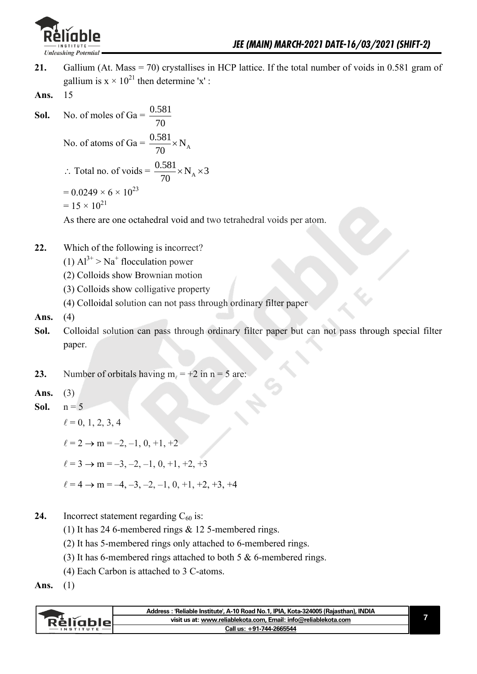

- **21.** Gallium (At. Mass = 70) crystallises in HCP lattice. If the total number of voids in 0.581 gram of gallium is  $x \times 10^{21}$  then determine 'x':
- **Ans.** 15
- **Sol.** No. of moles of Ga =  $\frac{0.581}{2.5}$ 70

No. of atoms of Ga =  $\frac{0.581}{70} \times N_A$ 70  $\times$ 

 $\therefore$  Total no. of voids =  $\frac{0.581}{70} \times N_A \times 3$ 70  $\times N_A \times 3$  $= 0.0249 \times 6 \times 10^{23}$ 

$$
= 15 \times 10^{21}
$$

As there are one octahedral void and two tetrahedral voids per atom.

- **22.** Which of the following is incorrect?
- $(1)$  Al<sup>3+</sup> > Na<sup>+</sup> flocculation power
	- (2) Colloids show Brownian motion
	- (3) Colloids show colligative property
	- (4) Colloidal solution can not pass through ordinary filter paper
- **Ans.** (4)
- **Sol.** Colloidal solution can pass through ordinary filter paper but can not pass through special filter paper.
- **23.** Number of orbitals having  $m_\ell = +2$  in  $n = 5$  are:
- **Ans.** (3)
- **Sol.**  $n = 5$ 
	- $\ell = 0, 1, 2, 3, 4$

 $\ell = 2 \rightarrow m = -2, -1, 0, +1, +2$ 

 $\ell = 3 \rightarrow m = -3, -2, -1, 0, +1, +2, +3$ 

- $\ell = 4 \rightarrow m = -4, -3, -2, -1, 0, +1, +2, +3, +4$
- **24.** Incorrect statement regarding  $C_{60}$  is:
	- (1) It has 24 6-membered rings & 12 5-membered rings.
	- (2) It has 5-membered rings only attached to 6-membered rings.
	- (3) It has 6-membered rings attached to both 5 & 6-membered rings.
	- (4) Each Carbon is attached to 3 C-atoms.
- **Ans.** (1)

| <b>Rèliable</b> | Address: 'Reliable Institute', A-10 Road No.1, IPIA, Kota-324005 (Rajasthan), INDIA |
|-----------------|-------------------------------------------------------------------------------------|
|                 | visit us at: www.reliablekota.com, Email: info@reliablekota.com                     |
|                 | Call us: +91-744-2665544                                                            |